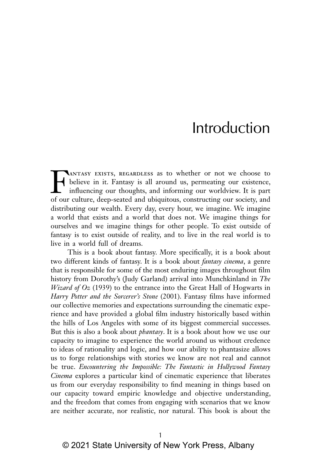## Introduction

TANTASY EXISTS, REGARDLESS as to whether or not we choose to believe in it. Fantasy is all around us, permeating our existence, influencing our thoughts, and informing our worldview. It is part of our culture does seated a believe in it. Fantasy is all around us, permeating our existence, influencing our thoughts, and informing our worldview. It is part of our culture, deep-seated and ubiquitous, constructing our society, and distributing our wealth. Every day, every hour, we imagine. We imagine a world that exists and a world that does not. We imagine things for ourselves and we imagine things for other people. To exist outside of fantasy is to exist outside of reality, and to live in the real world is to live in a world full of dreams.

This is a book about fantasy. More specifically, it is a book about two different kinds of fantasy. It is a book about *fantasy cinema*, a genre that is responsible for some of the most enduring images throughout film history from Dorothy's (Judy Garland) arrival into Munchkinland in *The Wizard of Oz* (1939) to the entrance into the Great Hall of Hogwarts in *Harry Potter and the Sorcerer's Stone* (2001). Fantasy films have informed our collective memories and expectations surrounding the cinematic experience and have provided a global film industry historically based within the hills of Los Angeles with some of its biggest commercial successes. But this is also a book about *phantasy*. It is a book about how we use our capacity to imagine to experience the world around us without credence to ideas of rationality and logic, and how our ability to phantasize allows us to forge relationships with stories we know are not real and cannot be true. *Encountering the Impossible: The Fantastic in Hollywood Fantasy Cinema* explores a particular kind of cinematic experience that liberates us from our everyday responsibility to find meaning in things based on our capacity toward empiric knowledge and objective understanding, and the freedom that comes from engaging with scenarios that we know are neither accurate, nor realistic, nor natural. This book is about the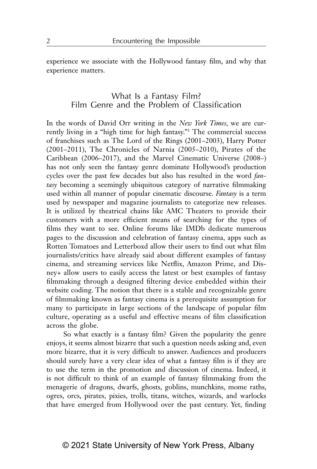experience we associate with the Hollywood fantasy film, and why that experience matters.

## What Is a Fantasy Film? Film Genre and the Problem of Classification

In the words of David Orr writing in the *New York Times*, we are currently living in a "high time for high fantasy."1 The commercial success of franchises such as The Lord of the Rings (2001–2003), Harry Potter (2001–2011), The Chronicles of Narnia (2005–2010), Pirates of the Caribbean (2006–2017), and the Marvel Cinematic Universe (2008–) has not only seen the fantasy genre dominate Hollywood's production cycles over the past few decades but also has resulted in the word *fantasy* becoming a seemingly ubiquitous category of narrative filmmaking used within all manner of popular cinematic discourse. *Fantasy* is a term used by newspaper and magazine journalists to categorize new releases. It is utilized by theatrical chains like AMC Theaters to provide their customers with a more efficient means of searching for the types of films they want to see. Online forums like IMDb dedicate numerous pages to the discussion and celebration of fantasy cinema, apps such as Rotten Tomatoes and Letterboxd allow their users to find out what film journalists/critics have already said about different examples of fantasy cinema, and streaming services like Netflix, Amazon Prime, and Disney*+* allow users to easily access the latest or best examples of fantasy filmmaking through a designed filtering device embedded within their website coding. The notion that there is a stable and recognizable genre of filmmaking known as fantasy cinema is a prerequisite assumption for many to participate in large sections of the landscape of popular film culture, operating as a useful and effective means of film classification across the globe.

So what exactly is a fantasy film? Given the popularity the genre enjoys, it seems almost bizarre that such a question needs asking and, even more bizarre, that it is very difficult to answer. Audiences and producers should surely have a very clear idea of what a fantasy film is if they are to use the term in the promotion and discussion of cinema. Indeed, it is not difficult to think of an example of fantasy filmmaking from the menagerie of dragons, dwarfs, ghosts, goblins, munchkins, mome raths, ogres, orcs, pirates, pixies, trolls, titans, witches, wizards, and warlocks that have emerged from Hollywood over the past century. Yet, finding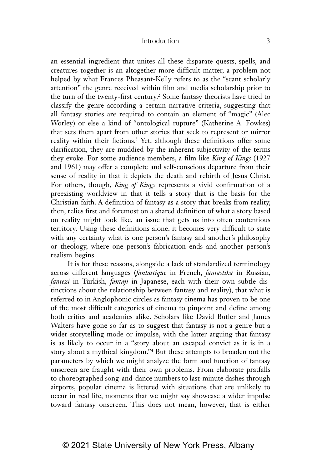an essential ingredient that unites all these disparate quests, spells, and creatures together is an altogether more difficult matter, a problem not helped by what Frances Pheasant-Kelly refers to as the "scant scholarly attention" the genre received within film and media scholarship prior to the turn of the twenty-first century.<sup>2</sup> Some fantasy theorists have tried to classify the genre according a certain narrative criteria, suggesting that all fantasy stories are required to contain an element of "magic" (Alec Worley) or else a kind of "ontological rupture" (Katherine A. Fowkes) that sets them apart from other stories that seek to represent or mirror reality within their fictions.<sup>3</sup> Yet, although these definitions offer some clarification, they are muddied by the inherent subjectivity of the terms they evoke. For some audience members, a film like *King of Kings* (1927 and 1961) may offer a complete and self-conscious departure from their sense of reality in that it depicts the death and rebirth of Jesus Christ. For others, though, *King of Kings* represents a vivid confirmation of a preexisting worldview in that it tells a story that is the basis for the Christian faith. A definition of fantasy as a story that breaks from reality, then, relies first and foremost on a shared definition of what a story based on reality might look like, an issue that gets us into often contentious territory. Using these definitions alone, it becomes very difficult to state with any certainty what is one person's fantasy and another's philosophy or theology, where one person's fabrication ends and another person's realism begins.

It is for these reasons, alongside a lack of standardized terminology across different languages (*fantastique* in French, *fantastika* in Russian, *fantezi* in Turkish, *fantaji* in Japanese, each with their own subtle distinctions about the relationship between fantasy and reality), that what is referred to in Anglophonic circles as fantasy cinema has proven to be one of the most difficult categories of cinema to pinpoint and define among both critics and academics alike. Scholars like David Butler and James Walters have gone so far as to suggest that fantasy is not a genre but a wider storytelling mode or impulse, with the latter arguing that fantasy is as likely to occur in a "story about an escaped convict as it is in a story about a mythical kingdom."4 But these attempts to broaden out the parameters by which we might analyze the form and function of fantasy onscreen are fraught with their own problems. From elaborate pratfalls to choreographed song-and-dance numbers to last-minute dashes through airports, popular cinema is littered with situations that are unlikely to occur in real life, moments that we might say showcase a wider impulse toward fantasy onscreen. This does not mean, however, that is either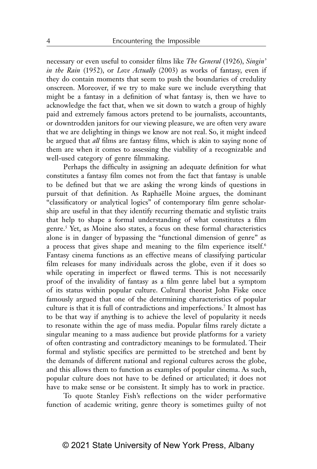necessary or even useful to consider films like *The General* (1926), *Singin' in the Rain* (1952), or *Love Actually* (2003) as works of fantasy, even if they do contain moments that seem to push the boundaries of credulity onscreen. Moreover, if we try to make sure we include everything that might be a fantasy in a definition of what fantasy is, then we have to acknowledge the fact that, when we sit down to watch a group of highly paid and extremely famous actors pretend to be journalists, accountants, or downtrodden janitors for our viewing pleasure, we are often very aware that we are delighting in things we know are not real. So, it might indeed be argued that *all* films are fantasy films, which is akin to saying none of them are when it comes to assessing the viability of a recognizable and well-used category of genre filmmaking.

Perhaps the difficulty in assigning an adequate definition for what constitutes a fantasy film comes not from the fact that fantasy is unable to be defined but that we are asking the wrong kinds of questions in pursuit of that definition. As Raphaëlle Moine argues, the dominant "classificatory or analytical logics" of contemporary film genre scholarship are useful in that they identify recurring thematic and stylistic traits that help to shape a formal understanding of what constitutes a film genre.5 Yet, as Moine also states, a focus on these formal characteristics alone is in danger of bypassing the "functional dimension of genre" as a process that gives shape and meaning to the film experience itself.<sup>6</sup> Fantasy cinema functions as an effective means of classifying particular film releases for many individuals across the globe, even if it does so while operating in imperfect or flawed terms. This is not necessarily proof of the invalidity of fantasy as a film genre label but a symptom of its status within popular culture. Cultural theorist John Fiske once famously argued that one of the determining characteristics of popular culture is that it is full of contradictions and imperfections.7 It almost has to be that way if anything is to achieve the level of popularity it needs to resonate within the age of mass media. Popular films rarely dictate a singular meaning to a mass audience but provide platforms for a variety of often contrasting and contradictory meanings to be formulated. Their formal and stylistic specifics are permitted to be stretched and bent by the demands of different national and regional cultures across the globe, and this allows them to function as examples of popular cinema. As such, popular culture does not have to be defined or articulated; it does not have to make sense or be consistent. It simply has to work in practice.

To quote Stanley Fish's reflections on the wider performative function of academic writing, genre theory is sometimes guilty of not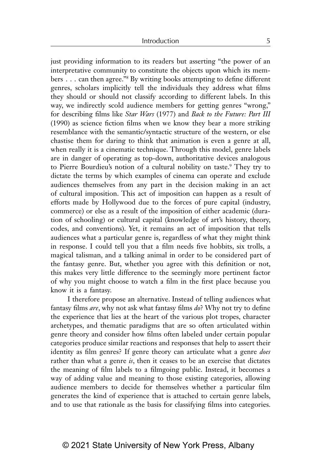just providing information to its readers but asserting "the power of an interpretative community to constitute the objects upon which its members . . . can then agree."8 By writing books attempting to define different genres, scholars implicitly tell the individuals they address what films they should or should not classify according to different labels. In this way, we indirectly scold audience members for getting genres "wrong," for describing films like *Star Wars* (1977) and *Back to the Future: Part III* (1990) as science fiction films when we know they bear a more striking resemblance with the semantic/syntactic structure of the western, or else chastise them for daring to think that animation is even a genre at all, when really it is a cinematic technique. Through this model, genre labels are in danger of operating as top-down, authoritative devices analogous to Pierre Bourdieu's notion of a cultural nobility on taste.<sup>9</sup> They try to dictate the terms by which examples of cinema can operate and exclude audiences themselves from any part in the decision making in an act of cultural imposition. This act of imposition can happen as a result of efforts made by Hollywood due to the forces of pure capital (industry, commerce) or else as a result of the imposition of either academic (duration of schooling) or cultural capital (knowledge of art's history, theory, codes, and conventions). Yet, it remains an act of imposition that tells audiences what a particular genre is, regardless of what they might think in response. I could tell you that a film needs five hobbits, six trolls, a magical talisman, and a talking animal in order to be considered part of the fantasy genre. But, whether you agree with this definition or not, this makes very little difference to the seemingly more pertinent factor of why you might choose to watch a film in the first place because you know it is a fantasy.

I therefore propose an alternative. Instead of telling audiences what fantasy films *are*, why not ask what fantasy films *do*? Why not try to define the experience that lies at the heart of the various plot tropes, character archetypes, and thematic paradigms that are so often articulated within genre theory and consider how films often labeled under certain popular categories produce similar reactions and responses that help to assert their identity as film genres? If genre theory can articulate what a genre *does* rather than what a genre *is*, then it ceases to be an exercise that dictates the meaning of film labels to a filmgoing public. Instead, it becomes a way of adding value and meaning to those existing categories, allowing audience members to decide for themselves whether a particular film generates the kind of experience that is attached to certain genre labels, and to use that rationale as the basis for classifying films into categories.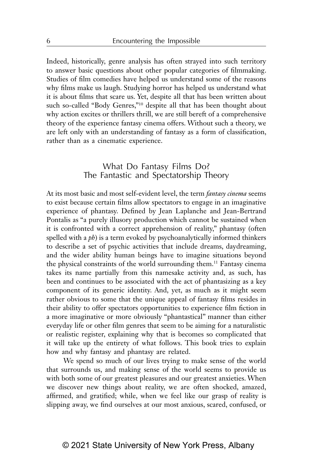Indeed, historically, genre analysis has often strayed into such territory to answer basic questions about other popular categories of filmmaking. Studies of film comedies have helped us understand some of the reasons why films make us laugh. Studying horror has helped us understand what it is about films that scare us. Yet, despite all that has been written about such so-called "Body Genres,"<sup>10</sup> despite all that has been thought about why action excites or thrillers thrill, we are still bereft of a comprehensive theory of the experience fantasy cinema offers. Without such a theory, we are left only with an understanding of fantasy as a form of classification, rather than as a cinematic experience.

## What Do Fantasy Films Do? The Fantastic and Spectatorship Theory

At its most basic and most self-evident level, the term *fantasy cinema* seems to exist because certain films allow spectators to engage in an imaginative experience of phantasy. Defined by Jean Laplanche and Jean-Bertrand Pontalis as "a purely illusory production which cannot be sustained when it is confronted with a correct apprehension of reality," phantasy (often spelled with a *ph*) is a term evoked by psychoanalytically informed thinkers to describe a set of psychic activities that include dreams, daydreaming, and the wider ability human beings have to imagine situations beyond the physical constraints of the world surrounding them.11 Fantasy cinema takes its name partially from this namesake activity and, as such, has been and continues to be associated with the act of phantasizing as a key component of its generic identity. And, yet, as much as it might seem rather obvious to some that the unique appeal of fantasy films resides in their ability to offer spectators opportunities to experience film fiction in a more imaginative or more obviously "phantastical" manner than either everyday life or other film genres that seem to be aiming for a naturalistic or realistic register, explaining why that is becomes so complicated that it will take up the entirety of what follows. This book tries to explain how and why fantasy and phantasy are related.

We spend so much of our lives trying to make sense of the world that surrounds us, and making sense of the world seems to provide us with both some of our greatest pleasures and our greatest anxieties. When we discover new things about reality, we are often shocked, amazed, affirmed, and gratified; while, when we feel like our grasp of reality is slipping away, we find ourselves at our most anxious, scared, confused, or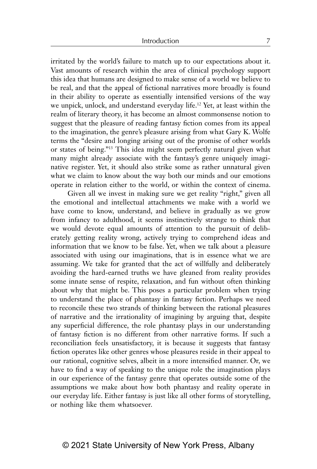irritated by the world's failure to match up to our expectations about it. Vast amounts of research within the area of clinical psychology support this idea that humans are designed to make sense of a world we believe to be real, and that the appeal of fictional narratives more broadly is found in their ability to operate as essentially intensified versions of the way we unpick, unlock, and understand everyday life.<sup>12</sup> Yet, at least within the realm of literary theory, it has become an almost commonsense notion to suggest that the pleasure of reading fantasy fiction comes from its appeal to the imagination, the genre's pleasure arising from what Gary K. Wolfe terms the "desire and longing arising out of the promise of other worlds or states of being."13 This idea might seem perfectly natural given what many might already associate with the fantasy's genre uniquely imaginative register. Yet, it should also strike some as rather unnatural given what we claim to know about the way both our minds and our emotions operate in relation either to the world, or within the context of cinema.

Given all we invest in making sure we get reality "right," given all the emotional and intellectual attachments we make with a world we have come to know, understand, and believe in gradually as we grow from infancy to adulthood, it seems instinctively strange to think that we would devote equal amounts of attention to the pursuit of deliberately getting reality wrong, actively trying to comprehend ideas and information that we know to be false. Yet, when we talk about a pleasure associated with using our imaginations, that is in essence what we are assuming. We take for granted that the act of willfully and deliberately avoiding the hard-earned truths we have gleaned from reality provides some innate sense of respite, relaxation, and fun without often thinking about why that might be. This poses a particular problem when trying to understand the place of phantasy in fantasy fiction. Perhaps we need to reconcile these two strands of thinking between the rational pleasures of narrative and the irrationality of imagining by arguing that, despite any superficial difference, the role phantasy plays in our understanding of fantasy fiction is no different from other narrative forms. If such a reconciliation feels unsatisfactory, it is because it suggests that fantasy fiction operates like other genres whose pleasures reside in their appeal to our rational, cognitive selves, albeit in a more intensified manner. Or, we have to find a way of speaking to the unique role the imagination plays in our experience of the fantasy genre that operates outside some of the assumptions we make about how both phantasy and reality operate in our everyday life. Either fantasy is just like all other forms of storytelling, or nothing like them whatsoever.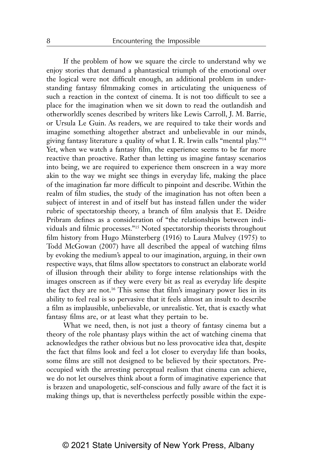If the problem of how we square the circle to understand why we enjoy stories that demand a phantastical triumph of the emotional over the logical were not difficult enough, an additional problem in understanding fantasy filmmaking comes in articulating the uniqueness of such a reaction in the context of cinema. It is not too difficult to see a place for the imagination when we sit down to read the outlandish and otherworldly scenes described by writers like Lewis Carroll, J. M. Barrie, or Ursula Le Guin. As readers, we are required to take their words and imagine something altogether abstract and unbelievable in our minds, giving fantasy literature a quality of what I. R. Irwin calls "mental play."14 Yet, when we watch a fantasy film, the experience seems to be far more reactive than proactive. Rather than letting us imagine fantasy scenarios into being, we are required to experience them onscreen in a way more akin to the way we might see things in everyday life, making the place of the imagination far more difficult to pinpoint and describe. Within the realm of film studies, the study of the imagination has not often been a subject of interest in and of itself but has instead fallen under the wider rubric of spectatorship theory, a branch of film analysis that E. Deidre Pribram defines as a consideration of "the relationships between individuals and filmic processes."15 Noted spectatorship theorists throughout film history from Hugo Münsterberg (1916) to Laura Mulvey (1975) to Todd McGowan (2007) have all described the appeal of watching films by evoking the medium's appeal to our imagination, arguing, in their own respective ways, that films allow spectators to construct an elaborate world of illusion through their ability to forge intense relationships with the images onscreen as if they were every bit as real as everyday life despite the fact they are not.16 This sense that film's imaginary power lies in its ability to feel real is so pervasive that it feels almost an insult to describe a film as implausible, unbelievable, or unrealistic. Yet, that is exactly what fantasy films are, or at least what they pertain to be.

What we need, then, is not just a theory of fantasy cinema but a theory of the role phantasy plays within the act of watching cinema that acknowledges the rather obvious but no less provocative idea that, despite the fact that films look and feel a lot closer to everyday life than books, some films are still not designed to be believed by their spectators. Preoccupied with the arresting perceptual realism that cinema can achieve, we do not let ourselves think about a form of imaginative experience that is brazen and unapologetic, self-conscious and fully aware of the fact it is making things up, that is nevertheless perfectly possible within the expe